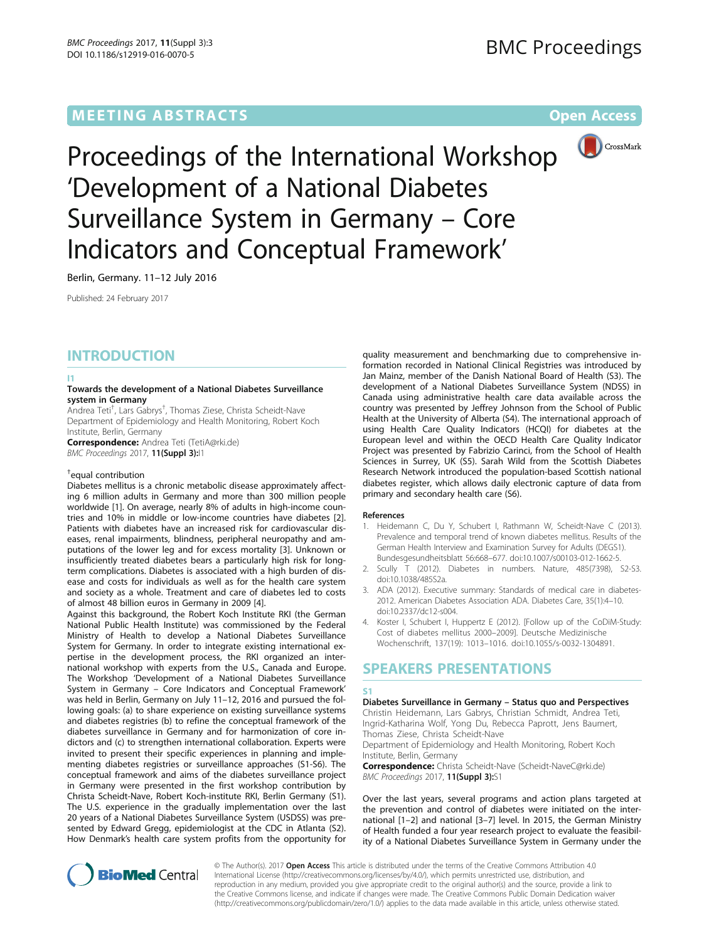# MEETING ABSTRACTS AND RESERVE THE SERVE AND THE SERVE ASSESSED AND RESERVE ASSESSED AND RESERVE ASSESSED AND RESERVE ASSESSED AND RESERVE ASSESSED AND RESERVE ASSESSED AND RESERVE ASSESSED AND RESERVE ASSESSED AND RESERVE



Proceedings of the International Workshop 'Development of a National Diabetes Surveillance System in Germany – Core Indicators and Conceptual Framework'

Berlin, Germany. 11–12 July 2016

Published: 24 February 2017

# INTRODUCTION

I1

# Towards the development of a National Diabetes Surveillance system in Germany

Andrea Teti† , Lars Gabrys† , Thomas Ziese, Christa Scheidt-Nave Department of Epidemiology and Health Monitoring, Robert Koch Institute, Berlin, Germany

Correspondence: Andrea Teti (TetiA@rki.de) BMC Proceedings 2017, 11(Suppl 3):11

# † equal contribution

Diabetes mellitus is a chronic metabolic disease approximately affecting 6 million adults in Germany and more than 300 million people worldwide [1]. On average, nearly 8% of adults in high-income countries and 10% in middle or low-income countries have diabetes [2]. Patients with diabetes have an increased risk for cardiovascular diseases, renal impairments, blindness, peripheral neuropathy and amputations of the lower leg and for excess mortality [3]. Unknown or insufficiently treated diabetes bears a particularly high risk for longterm complications. Diabetes is associated with a high burden of disease and costs for individuals as well as for the health care system and society as a whole. Treatment and care of diabetes led to costs of almost 48 billion euros in Germany in 2009 [4].

Against this background, the Robert Koch Institute RKI (the German National Public Health Institute) was commissioned by the Federal Ministry of Health to develop a National Diabetes Surveillance System for Germany. In order to integrate existing international expertise in the development process, the RKI organized an international workshop with experts from the U.S., Canada and Europe. The Workshop 'Development of a National Diabetes Surveillance System in Germany – Core Indicators and Conceptual Framework' was held in Berlin, Germany on July 11–12, 2016 and pursued the following goals: (a) to share experience on existing surveillance systems and diabetes registries (b) to refine the conceptual framework of the diabetes surveillance in Germany and for harmonization of core indictors and (c) to strengthen international collaboration. Experts were invited to present their specific experiences in planning and implementing diabetes registries or surveillance approaches (S1-S6). The conceptual framework and aims of the diabetes surveillance project in Germany were presented in the first workshop contribution by Christa Scheidt-Nave, Robert Koch-institute RKI, Berlin Germany (S1). The U.S. experience in the gradually implementation over the last 20 years of a National Diabetes Surveillance System (USDSS) was presented by Edward Gregg, epidemiologist at the CDC in Atlanta (S2). How Denmark's health care system profits from the opportunity for quality measurement and benchmarking due to comprehensive information recorded in National Clinical Registries was introduced by Jan Mainz, member of the Danish National Board of Health (S3). The development of a National Diabetes Surveillance System (NDSS) in Canada using administrative health care data available across the country was presented by Jeffrey Johnson from the School of Public Health at the University of Alberta (S4). The international approach of using Health Care Quality Indicators (HCQI) for diabetes at the European level and within the OECD Health Care Quality Indicator Project was presented by Fabrizio Carinci, from the School of Health Sciences in Surrey, UK (S5). Sarah Wild from the Scottish Diabetes Research Network introduced the population-based Scottish national diabetes register, which allows daily electronic capture of data from primary and secondary health care (S6).

### References

- Heidemann C, Du Y, Schubert I, Rathmann W, Scheidt-Nave C (2013). Prevalence and temporal trend of known diabetes mellitus. Results of the German Health Interview and Examination Survey for Adults (DEGS1). Bundesgesundheitsblatt 56:668–677. doi[:10.1007/s00103-012-1662-5.](http://dx.doi.org/10.1007/s00103-012-1662-5)
- 2. Scully T (2012). Diabetes in numbers. Nature, 485(7398), S2-S3. doi:[10.1038/485S2a](http://dx.doi.org/10.1038/485S2a).
- 3. ADA (2012). Executive summary: Standards of medical care in diabetes-2012. American Diabetes Association ADA. Diabetes Care, 35(1):4–10. doi:[10.2337/dc12-s004](http://dx.doi.org/10.2337/dc12-s004).
- 4. Koster I, Schubert I, Huppertz E (2012). [Follow up of the CoDiM-Study: Cost of diabetes mellitus 2000–2009]. Deutsche Medizinische Wochenschrift, 137(19): 1013–1016. doi:[10.1055/s-0032-1304891](http://dx.doi.org/10.1055/s-0032-1304891).

# SPEAKERS PRESENTATIONS

# S<sub>1</sub>

Diabetes Surveillance in Germany – Status quo and Perspectives Christin Heidemann, Lars Gabrys, Christian Schmidt, Andrea Teti, Ingrid-Katharina Wolf, Yong Du, Rebecca Paprott, Jens Baumert,

Thomas Ziese, Christa Scheidt-Nave Department of Epidemiology and Health Monitoring, Robert Koch Institute, Berlin, Germany

Correspondence: Christa Scheidt-Nave (Scheidt-NaveC@rki.de) BMC Proceedings 2017, 11(Suppl 3):S1

Over the last years, several programs and action plans targeted at the prevention and control of diabetes were initiated on the international [1–2] and national [3–7] level. In 2015, the German Ministry of Health funded a four year research project to evaluate the feasibility of a National Diabetes Surveillance System in Germany under the



© The Author(s). 2017 Open Access This article is distributed under the terms of the Creative Commons Attribution 4.0 International License ([http://creativecommons.org/licenses/by/4.0/\)](http://creativecommons.org/licenses/by/4.0/), which permits unrestricted use, distribution, and reproduction in any medium, provided you give appropriate credit to the original author(s) and the source, provide a link to the Creative Commons license, and indicate if changes were made. The Creative Commons Public Domain Dedication waiver ([http://creativecommons.org/publicdomain/zero/1.0/\)](http://creativecommons.org/publicdomain/zero/1.0/) applies to the data made available in this article, unless otherwise stated.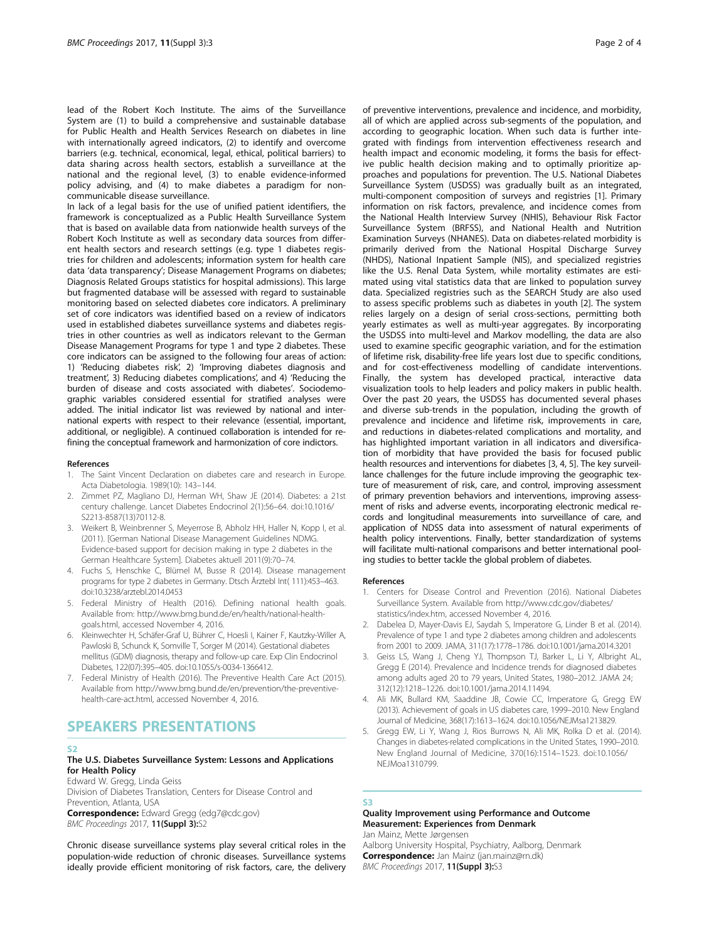lead of the Robert Koch Institute. The aims of the Surveillance System are (1) to build a comprehensive and sustainable database for Public Health and Health Services Research on diabetes in line with internationally agreed indicators, (2) to identify and overcome barriers (e.g. technical, economical, legal, ethical, political barriers) to data sharing across health sectors, establish a surveillance at the national and the regional level, (3) to enable evidence-informed policy advising, and (4) to make diabetes a paradigm for noncommunicable disease surveillance.

In lack of a legal basis for the use of unified patient identifiers, the framework is conceptualized as a Public Health Surveillance System that is based on available data from nationwide health surveys of the Robert Koch Institute as well as secondary data sources from different health sectors and research settings (e.g. type 1 diabetes registries for children and adolescents; information system for health care data 'data transparency'; Disease Management Programs on diabetes; Diagnosis Related Groups statistics for hospital admissions). This large but fragmented database will be assessed with regard to sustainable monitoring based on selected diabetes core indicators. A preliminary set of core indicators was identified based on a review of indicators used in established diabetes surveillance systems and diabetes registries in other countries as well as indicators relevant to the German Disease Management Programs for type 1 and type 2 diabetes. These core indicators can be assigned to the following four areas of action: 1) 'Reducing diabetes risk', 2) 'Improving diabetes diagnosis and treatment', 3) Reducing diabetes complications', and 4) 'Reducing the burden of disease and costs associated with diabetes'. Sociodemographic variables considered essential for stratified analyses were added. The initial indicator list was reviewed by national and international experts with respect to their relevance (essential, important, additional, or negligible). A continued collaboration is intended for refining the conceptual framework and harmonization of core indictors.

#### References

- 1. The Saint Vincent Declaration on diabetes care and research in Europe. Acta Diabetologia. 1989(10): 143–144.
- Zimmet PZ, Magliano DJ, Herman WH, Shaw JE (2014). Diabetes: a 21st century challenge. Lancet Diabetes Endocrinol 2(1):56–64. doi[:10.1016/](http://dx.doi.org/10.1016/S2213-8587(13)70112-8) [S2213-8587\(13\)70112-8.](http://dx.doi.org/10.1016/S2213-8587(13)70112-8)
- 3. Weikert B, Weinbrenner S, Meyerrose B, Abholz HH, Haller N, Kopp I, et al. (2011). [German National Disease Management Guidelines NDMG. Evidence-based support for decision making in type 2 diabetes in the German Healthcare System]. Diabetes aktuell 2011(9):70–74.
- 4. Fuchs S, Henschke C, Blümel M, Busse R (2014). Disease management programs for type 2 diabetes in Germany. Dtsch Ärztebl Int( 111):453–463. doi[:10.3238/arztebl.2014.0453](http://dx.doi.org/10.3238/arztebl.2014.0453)
- 5. Federal Ministry of Health (2016). Defining national health goals. Available from: [http://www.bmg.bund.de/en/health/national-health](http://www.bmg.bund.de/en/health/national-health-goals.html)[goals.html](http://www.bmg.bund.de/en/health/national-health-goals.html), accessed November 4, 2016.
- 6. Kleinwechter H, Schäfer-Graf U, Bührer C, Hoesli I, Kainer F, Kautzky-Willer A, Pawloski B, Schunck K, Somville T, Sorger M (2014). Gestational diabetes mellitus (GDM) diagnosis, therapy and follow-up care. Exp Clin Endocrinol Diabetes, 122(07):395–405. doi:[10.1055/s-0034-1366412](http://dx.doi.org/10.1055/s-0034-1366412).
- 7. Federal Ministry of Health (2016). The Preventive Health Care Act (2015). Available from [http://www.bmg.bund.de/en/prevention/the-preventive](http://www.bmg.bund.de/en/prevention/the-preventive-health-care-act.html)[health-care-act.html](http://www.bmg.bund.de/en/prevention/the-preventive-health-care-act.html), accessed November 4, 2016.

# SPEAKERS PRESENTATIONS

### S2

## The U.S. Diabetes Surveillance System: Lessons and Applications for Health Policy

Edward W. Gregg, Linda Geiss Division of Diabetes Translation, Centers for Disease Control and Prevention, Atlanta, USA Correspondence: Edward Gregg (edg7@cdc.gov) BMC Proceedings 2017, 11(Suppl 3):S2

Chronic disease surveillance systems play several critical roles in the population-wide reduction of chronic diseases. Surveillance systems ideally provide efficient monitoring of risk factors, care, the delivery of preventive interventions, prevalence and incidence, and morbidity, all of which are applied across sub-segments of the population, and according to geographic location. When such data is further integrated with findings from intervention effectiveness research and health impact and economic modeling, it forms the basis for effective public health decision making and to optimally prioritize approaches and populations for prevention. The U.S. National Diabetes Surveillance System (USDSS) was gradually built as an integrated, multi-component composition of surveys and registries [1]. Primary information on risk factors, prevalence, and incidence comes from the National Health Interview Survey (NHIS), Behaviour Risk Factor Surveillance System (BRFSS), and National Health and Nutrition Examination Surveys (NHANES). Data on diabetes-related morbidity is primarily derived from the National Hospital Discharge Survey (NHDS), National Inpatient Sample (NIS), and specialized registries like the U.S. Renal Data System, while mortality estimates are estimated using vital statistics data that are linked to population survey data. Specialized registries such as the SEARCH Study are also used to assess specific problems such as diabetes in youth [2]. The system relies largely on a design of serial cross-sections, permitting both yearly estimates as well as multi-year aggregates. By incorporating the USDSS into multi-level and Markov modelling, the data are also used to examine specific geographic variation, and for the estimation of lifetime risk, disability-free life years lost due to specific conditions, and for cost-effectiveness modelling of candidate interventions. Finally, the system has developed practical, interactive data visualization tools to help leaders and policy makers in public health. Over the past 20 years, the USDSS has documented several phases and diverse sub-trends in the population, including the growth of prevalence and incidence and lifetime risk, improvements in care, and reductions in diabetes-related complications and mortality, and has highlighted important variation in all indicators and diversification of morbidity that have provided the basis for focused public health resources and interventions for diabetes [3, 4, 5]. The key surveillance challenges for the future include improving the geographic texture of measurement of risk, care, and control, improving assessment of primary prevention behaviors and interventions, improving assessment of risks and adverse events, incorporating electronic medical records and longitudinal measurements into surveillance of care, and application of NDSS data into assessment of natural experiments of health policy interventions. Finally, better standardization of systems will facilitate multi-national comparisons and better international pooling studies to better tackle the global problem of diabetes.

#### References

- 1. Centers for Disease Control and Prevention (2016). National Diabetes Surveillance System. Available from [http://www.cdc.gov/diabetes/](http://www.cdc.gov/diabetes/statistics/index.htm) [statistics/index.htm](http://www.cdc.gov/diabetes/statistics/index.htm), accessed November 4, 2016.
- 2. Dabelea D, Mayer-Davis EJ, Saydah S, Imperatore G, Linder B et al. (2014). Prevalence of type 1 and type 2 diabetes among children and adolescents from 2001 to 2009. JAMA, 311(17):1778–1786. doi[:10.1001/jama.2014.3201](http://dx.doi.org/10.1001/jama.2014.3201)
- 3. Geiss LS, Wang J, Cheng YJ, Thompson TJ, Barker L, Li Y, Albright AL, Gregg E (2014). Prevalence and Incidence trends for diagnosed diabetes among adults aged 20 to 79 years, United States, 1980–2012. JAMA 24; 312(12):1218–1226. doi:[10.1001/jama.2014.11494](http://dx.doi.org/10.1001/jama.2014.11494).
- 4. Ali MK, Bullard KM, Saaddine JB, Cowie CC, Imperatore G, Gregg EW (2013). Achievement of goals in US diabetes care, 1999–2010. New England Journal of Medicine, 368(17):1613–1624. doi[:10.1056/NEJMsa1213829.](http://dx.doi.org/10.1056/NEJMsa1213829)
- 5. Gregg EW, Li Y, Wang J, Rios Burrows N, Ali MK, Rolka D et al. (2014). Changes in diabetes-related complications in the United States, 1990–2010. New England Journal of Medicine, 370(16):1514–1523. doi:[10.1056/](http://dx.doi.org/10.1056/NEJMoa1310799) [NEJMoa1310799](http://dx.doi.org/10.1056/NEJMoa1310799).

### S3

## Quality Improvement using Performance and Outcome Measurement: Experiences from Denmark

Jan Mainz, Mette Jørgensen Aalborg University Hospital, Psychiatry, Aalborg, Denmark

Correspondence: Jan Mainz (jan.mainz@rn.dk) BMC Proceedings 2017, 11(Suppl 3):S3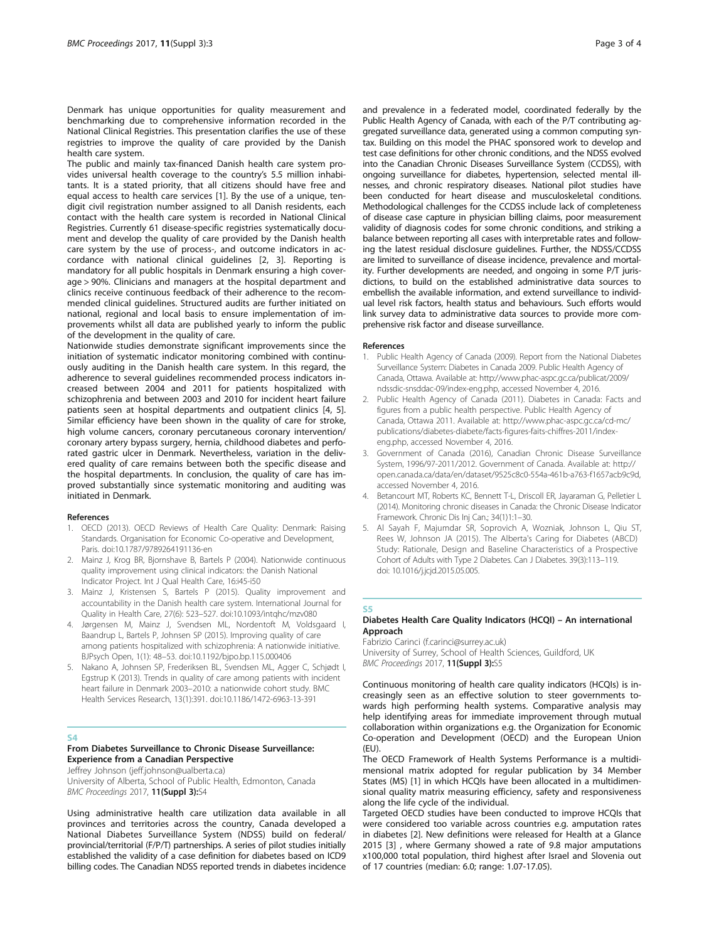Denmark has unique opportunities for quality measurement and benchmarking due to comprehensive information recorded in the National Clinical Registries. This presentation clarifies the use of these registries to improve the quality of care provided by the Danish health care system.

The public and mainly tax-financed Danish health care system provides universal health coverage to the country's 5.5 million inhabitants. It is a stated priority, that all citizens should have free and equal access to health care services [1]. By the use of a unique, tendigit civil registration number assigned to all Danish residents, each contact with the health care system is recorded in National Clinical Registries. Currently 61 disease-specific registries systematically document and develop the quality of care provided by the Danish health care system by the use of process-, and outcome indicators in accordance with national clinical guidelines [2, 3]. Reporting is mandatory for all public hospitals in Denmark ensuring a high coverage > 90%. Clinicians and managers at the hospital department and clinics receive continuous feedback of their adherence to the recommended clinical guidelines. Structured audits are further initiated on national, regional and local basis to ensure implementation of improvements whilst all data are published yearly to inform the public of the development in the quality of care.

Nationwide studies demonstrate significant improvements since the initiation of systematic indicator monitoring combined with continuously auditing in the Danish health care system. In this regard, the adherence to several guidelines recommended process indicators increased between 2004 and 2011 for patients hospitalized with schizophrenia and between 2003 and 2010 for incident heart failure patients seen at hospital departments and outpatient clinics [4, 5]. Similar efficiency have been shown in the quality of care for stroke, high volume cancers, coronary percutaneous coronary intervention/ coronary artery bypass surgery, hernia, childhood diabetes and perforated gastric ulcer in Denmark. Nevertheless, variation in the delivered quality of care remains between both the specific disease and the hospital departments. In conclusion, the quality of care has improved substantially since systematic monitoring and auditing was initiated in Denmark.

#### References

- 1. OECD (2013). OECD Reviews of Health Care Quality: Denmark: Raising Standards. Organisation for Economic Co-operative and Development, Paris. doi[:10.1787/9789264191136-en](http://dx.doi.org/10.1787/9789264191136-en)
- 2. Mainz J, Krog BR, Bjornshave B, Bartels P (2004). Nationwide continuous quality improvement using clinical indicators: the Danish National Indicator Project. Int J Qual Health Care, 16:i45-i50
- 3. Mainz J, Kristensen S, Bartels P (2015). Quality improvement and accountability in the Danish health care system. International Journal for Quality in Health Care, 27(6): 523–527. doi:[10.1093/intqhc/mzv080](http://dx.doi.org/10.1093/intqhc/mzv080)
- 4. Jørgensen M, Mainz J, Svendsen ML, Nordentoft M, Voldsgaard I, Baandrup L, Bartels P, Johnsen SP (2015). Improving quality of care among patients hospitalized with schizophrenia: A nationwide initiative. BJPsych Open, 1(1): 48–53. doi[:10.1192/bjpo.bp.115.000406](http://dx.doi.org/10.1192/bjpo.bp.115.000406)
- 5. Nakano A, Johnsen SP, Frederiksen BL, Svendsen ML, Agger C, Schjødt I, Egstrup K (2013). Trends in quality of care among patients with incident heart failure in Denmark 2003–2010: a nationwide cohort study. BMC Health Services Research, 13(1):391. doi[:10.1186/1472-6963-13-391](http://dx.doi.org/10.1186/1472-6963-13-391)

#### **S4**

## From Diabetes Surveillance to Chronic Disease Surveillance: Experience from a Canadian Perspective

Jeffrey Johnson (jeff.johnson@ualberta.ca) University of Alberta, School of Public Health, Edmonton, Canada BMC Proceedings 2017, 11(Suppl 3):S4

Using administrative health care utilization data available in all provinces and territories across the country, Canada developed a National Diabetes Surveillance System (NDSS) build on federal/ provincial/territorial (F/P/T) partnerships. A series of pilot studies initially established the validity of a case definition for diabetes based on ICD9 billing codes. The Canadian NDSS reported trends in diabetes incidence

and prevalence in a federated model, coordinated federally by the Public Health Agency of Canada, with each of the P/T contributing aggregated surveillance data, generated using a common computing syntax. Building on this model the PHAC sponsored work to develop and test case definitions for other chronic conditions, and the NDSS evolved into the Canadian Chronic Diseases Surveillance System (CCDSS), with ongoing surveillance for diabetes, hypertension, selected mental illnesses, and chronic respiratory diseases. National pilot studies have been conducted for heart disease and musculoskeletal conditions. Methodological challenges for the CCDSS include lack of completeness of disease case capture in physician billing claims, poor measurement validity of diagnosis codes for some chronic conditions, and striking a balance between reporting all cases with interpretable rates and following the latest residual disclosure guidelines. Further, the NDSS/CCDSS are limited to surveillance of disease incidence, prevalence and mortality. Further developments are needed, and ongoing in some P/T jurisdictions, to build on the established administrative data sources to embellish the available information, and extend surveillance to individual level risk factors, health status and behaviours. Such efforts would link survey data to administrative data sources to provide more comprehensive risk factor and disease surveillance.

#### References

- 1. Public Health Agency of Canada (2009). Report from the National Diabetes Surveillance System: Diabetes in Canada 2009. Public Health Agency of Canada, Ottawa. Available at: [http://www.phac-aspc.gc.ca/publicat/2009/](http://www.phac-aspc.gc.ca/publicat/2009/ndssdic-snsddac-09/index-eng.php) [ndssdic-snsddac-09/index-eng.php](http://www.phac-aspc.gc.ca/publicat/2009/ndssdic-snsddac-09/index-eng.php), accessed November 4, 2016.
- 2. Public Health Agency of Canada (2011). Diabetes in Canada: Facts and figures from a public health perspective. Public Health Agency of Canada, Ottawa 2011. Available at: [http://www.phac-aspc.gc.ca/cd-mc/](http://www.phac-aspc.gc.ca/cd-mc/publications/diabetes-diabete/facts-figures-faits-chiffres-2011/index-eng.php) [publications/diabetes-diabete/facts-figures-faits-chiffres-2011/index](http://www.phac-aspc.gc.ca/cd-mc/publications/diabetes-diabete/facts-figures-faits-chiffres-2011/index-eng.php)[eng.php,](http://www.phac-aspc.gc.ca/cd-mc/publications/diabetes-diabete/facts-figures-faits-chiffres-2011/index-eng.php) accessed November 4, 2016.
- 3. Government of Canada (2016), Canadian Chronic Disease Surveillance System, 1996/97-2011/2012. Government of Canada. Available at: [http://](http://open.canada.ca/data/en/dataset/9525c8c0-554a-461b-a763-f1657acb9c9d) [open.canada.ca/data/en/dataset/9525c8c0-554a-461b-a763-f1657acb9c9d](http://open.canada.ca/data/en/dataset/9525c8c0-554a-461b-a763-f1657acb9c9d), accessed November 4, 2016.
- 4. Betancourt MT, Roberts KC, Bennett T-L, Driscoll ER, Jayaraman G, Pelletier L (2014). Monitoring chronic diseases in Canada: the Chronic Disease Indicator Framework. Chronic Dis Inj Can.; 34(1)1:1–30.
- 5. Al Sayah F, Majumdar SR, Soprovich A, Wozniak, Johnson L, Qiu ST, Rees W, Johnson JA (2015). The Alberta's Caring for Diabetes (ABCD) Study: Rationale, Design and Baseline Characteristics of a Prospective Cohort of Adults with Type 2 Diabetes. Can J Diabetes. 39(3):113–119. doi: [10.1016/j.jcjd.2015.05.005.](http://dx.doi.org/10.1016/j.jcjd.2015.05.005)

S5

Diabetes Health Care Quality Indicators (HCQI) – An international Approach

Fabrizio Carinci (f.carinci@surrey.ac.uk) University of Surrey, School of Health Sciences, Guildford, UK BMC Proceedings 2017, 11(Suppl 3):S5

Continuous monitoring of health care quality indicators (HCQIs) is increasingly seen as an effective solution to steer governments towards high performing health systems. Comparative analysis may help identifying areas for immediate improvement through mutual collaboration within organizations e.g. the Organization for Economic Co-operation and Development (OECD) and the European Union (EU).

The OECD Framework of Health Systems Performance is a multidimensional matrix adopted for regular publication by 34 Member States (MS) [1] in which HCQIs have been allocated in a multidimensional quality matrix measuring efficiency, safety and responsiveness along the life cycle of the individual.

Targeted OECD studies have been conducted to improve HCQIs that were considered too variable across countries e.g. amputation rates in diabetes [2]. New definitions were released for Health at a Glance 2015 [3] , where Germany showed a rate of 9.8 major amputations x100,000 total population, third highest after Israel and Slovenia out of 17 countries (median: 6.0; range: 1.07-17.05).